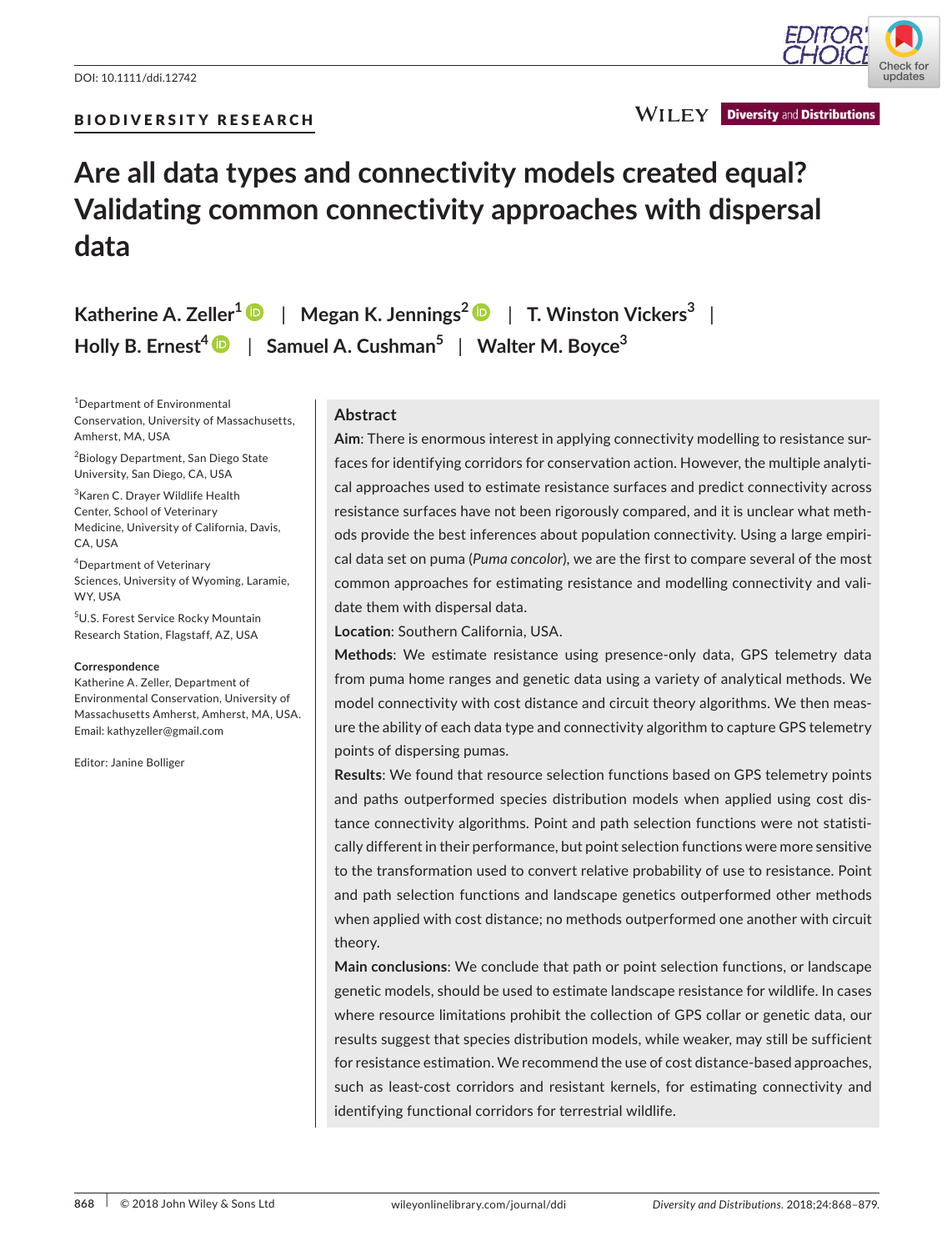

**WILEY** Diversity and Distributions

# **Are all data types and connectivity models created equal? Validating common connectivity approaches with dispersal data**

**Katherine A. Zeller1** | **Megan K. Jennings[2](http://orcid.org/0000-0002-3707-851X)** | **T. Winston Vickers<sup>3</sup>** | **Holly B. Ernest[4](http://orcid.org/0000-0002-0205-8818)** | **Samuel A. Cushman<sup>5</sup>** | **Walter M. Boyce<sup>3</sup>**

1 Department of Environmental Conservation, University of Massachusetts, Amherst, MA, USA

<sup>2</sup> Biology Department, San Diego State University, San Diego, CA, USA

<sup>3</sup> Karen C. Drayer Wildlife Health Center, School of Veterinary Medicine, University of California, Davis, CA, USA

4 Department of Veterinary Sciences, University of Wyoming, Laramie, WY, USA

5 U.S. Forest Service Rocky Mountain Research Station, Flagstaff, AZ, USA

#### **Correspondence**

Katherine A. Zeller, Department of Environmental Conservation, University of Massachusetts Amherst, Amherst, MA, USA. Email: [kathyzeller@gmail.com](mailto:kathyzeller@gmail.com)

Editor: Janine Bolliger

## **Abstract**

**Aim**: There is enormous interest in applying connectivity modelling to resistance surfaces for identifying corridors for conservation action. However, the multiple analytical approaches used to estimate resistance surfaces and predict connectivity across resistance surfaces have not been rigorously compared, and it is unclear what methods provide the best inferences about population connectivity. Using a large empirical data set on puma (*Puma concolor*), we are the first to compare several of the most common approaches for estimating resistance and modelling connectivity and validate them with dispersal data.

**Location**: Southern California, USA.

**Methods**: We estimate resistance using presence-only data, GPS telemetry data from puma home ranges and genetic data using a variety of analytical methods. We model connectivity with cost distance and circuit theory algorithms. We then measure the ability of each data type and connectivity algorithm to capture GPS telemetry points of dispersing pumas.

**Results**: We found that resource selection functions based on GPS telemetry points and paths outperformed species distribution models when applied using cost distance connectivity algorithms. Point and path selection functions were not statistically different in their performance, but point selection functions were more sensitive to the transformation used to convert relative probability of use to resistance. Point and path selection functions and landscape genetics outperformed other methods when applied with cost distance; no methods outperformed one another with circuit theory.

**Main conclusions**: We conclude that path or point selection functions, or landscape genetic models, should be used to estimate landscape resistance for wildlife. In cases where resource limitations prohibit the collection of GPS collar or genetic data, our results suggest that species distribution models, while weaker, may still be sufficient for resistance estimation. We recommend the use of cost distance-based approaches, such as least-cost corridors and resistant kernels, for estimating connectivity and identifying functional corridors for terrestrial wildlife.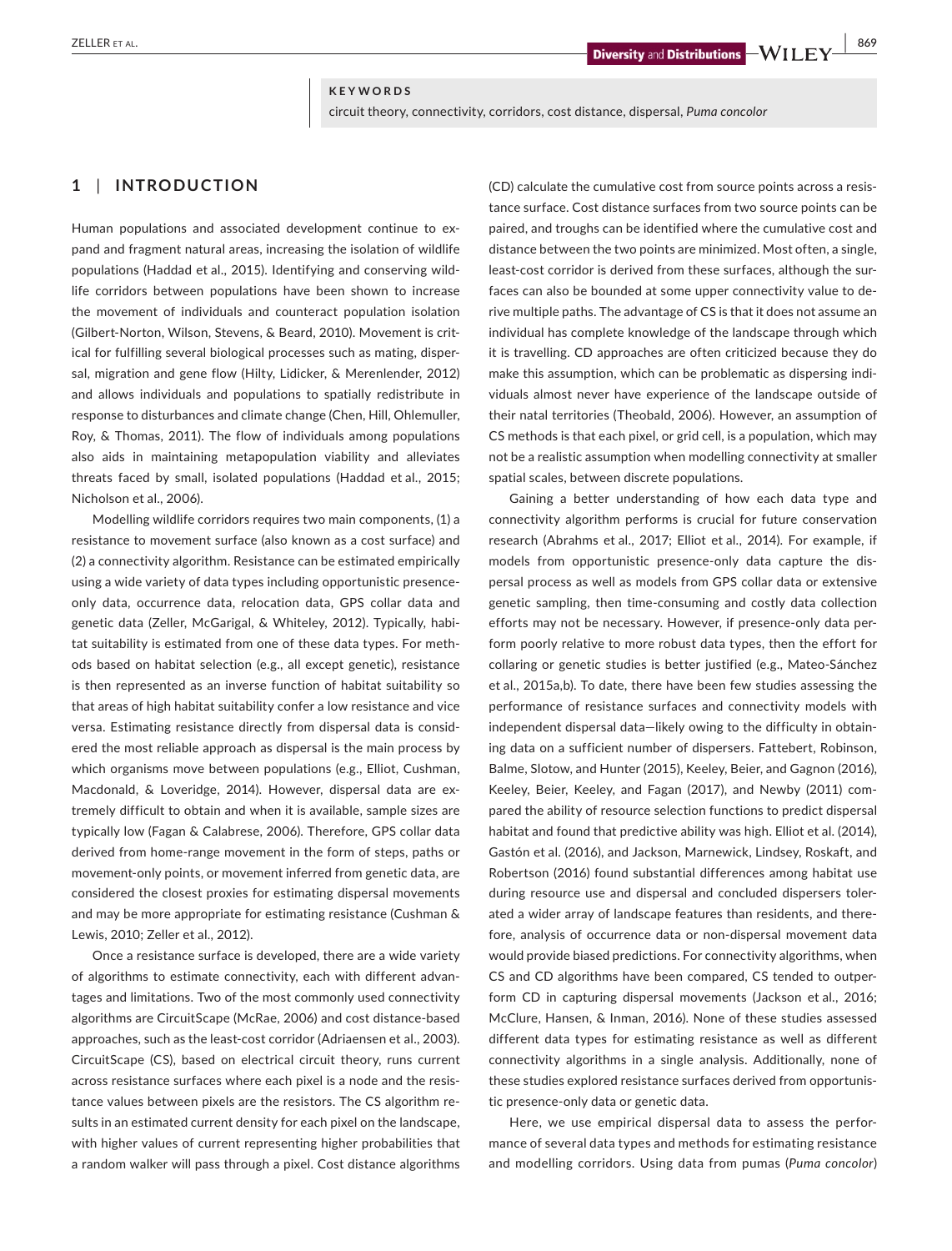#### **KEYWORDS**

circuit theory, connectivity, corridors, cost distance, dispersal, *Puma concolor*

# **1** | **INTRODUCTION**

Human populations and associated development continue to expand and fragment natural areas, increasing the isolation of wildlife populations (Haddad et al., 2015). Identifying and conserving wildlife corridors between populations have been shown to increase the movement of individuals and counteract population isolation (Gilbert-Norton, Wilson, Stevens, & Beard, 2010). Movement is critical for fulfilling several biological processes such as mating, dispersal, migration and gene flow (Hilty, Lidicker, & Merenlender, 2012) and allows individuals and populations to spatially redistribute in response to disturbances and climate change (Chen, Hill, Ohlemuller, Roy, & Thomas, 2011). The flow of individuals among populations also aids in maintaining metapopulation viability and alleviates threats faced by small, isolated populations (Haddad et al., 2015; Nicholson et al., 2006).

Modelling wildlife corridors requires two main components, (1) a resistance to movement surface (also known as a cost surface) and (2) a connectivity algorithm. Resistance can be estimated empirically using a wide variety of data types including opportunistic presenceonly data, occurrence data, relocation data, GPS collar data and genetic data (Zeller, McGarigal, & Whiteley, 2012). Typically, habitat suitability is estimated from one of these data types. For methods based on habitat selection (e.g., all except genetic), resistance is then represented as an inverse function of habitat suitability so that areas of high habitat suitability confer a low resistance and vice versa. Estimating resistance directly from dispersal data is considered the most reliable approach as dispersal is the main process by which organisms move between populations (e.g., Elliot, Cushman, Macdonald, & Loveridge, 2014). However, dispersal data are extremely difficult to obtain and when it is available, sample sizes are typically low (Fagan & Calabrese, 2006). Therefore, GPS collar data derived from home-range movement in the form of steps, paths or movement-only points, or movement inferred from genetic data, are considered the closest proxies for estimating dispersal movements and may be more appropriate for estimating resistance (Cushman & Lewis, 2010; Zeller et al., 2012).

Once a resistance surface is developed, there are a wide variety of algorithms to estimate connectivity, each with different advantages and limitations. Two of the most commonly used connectivity algorithms are CircuitScape (McRae, 2006) and cost distance-based approaches, such as the least-cost corridor (Adriaensen et al., 2003). CircuitScape (CS), based on electrical circuit theory, runs current across resistance surfaces where each pixel is a node and the resistance values between pixels are the resistors. The CS algorithm results in an estimated current density for each pixel on the landscape, with higher values of current representing higher probabilities that a random walker will pass through a pixel. Cost distance algorithms

(CD) calculate the cumulative cost from source points across a resistance surface. Cost distance surfaces from two source points can be paired, and troughs can be identified where the cumulative cost and distance between the two points are minimized. Most often, a single, least-cost corridor is derived from these surfaces, although the surfaces can also be bounded at some upper connectivity value to derive multiple paths. The advantage of CS is that it does not assume an individual has complete knowledge of the landscape through which it is travelling. CD approaches are often criticized because they do make this assumption, which can be problematic as dispersing individuals almost never have experience of the landscape outside of their natal territories (Theobald, 2006). However, an assumption of CS methods is that each pixel, or grid cell, is a population, which may not be a realistic assumption when modelling connectivity at smaller spatial scales, between discrete populations.

Gaining a better understanding of how each data type and connectivity algorithm performs is crucial for future conservation research (Abrahms et al., 2017; Elliot et al., 2014). For example, if models from opportunistic presence-only data capture the dispersal process as well as models from GPS collar data or extensive genetic sampling, then time-consuming and costly data collection efforts may not be necessary. However, if presence-only data perform poorly relative to more robust data types, then the effort for collaring or genetic studies is better justified (e.g., Mateo-Sánchez et al., 2015a,b). To date, there have been few studies assessing the performance of resistance surfaces and connectivity models with independent dispersal data—likely owing to the difficulty in obtaining data on a sufficient number of dispersers. Fattebert, Robinson, Balme, Slotow, and Hunter (2015), Keeley, Beier, and Gagnon (2016), Keeley, Beier, Keeley, and Fagan (2017), and Newby (2011) compared the ability of resource selection functions to predict dispersal habitat and found that predictive ability was high. Elliot et al. (2014), Gastón et al. (2016), and Jackson, Marnewick, Lindsey, Roskaft, and Robertson (2016) found substantial differences among habitat use during resource use and dispersal and concluded dispersers tolerated a wider array of landscape features than residents, and therefore, analysis of occurrence data or non-dispersal movement data would provide biased predictions. For connectivity algorithms, when CS and CD algorithms have been compared, CS tended to outperform CD in capturing dispersal movements (Jackson et al., 2016; McClure, Hansen, & Inman, 2016). None of these studies assessed different data types for estimating resistance as well as different connectivity algorithms in a single analysis. Additionally, none of these studies explored resistance surfaces derived from opportunistic presence-only data or genetic data.

Here, we use empirical dispersal data to assess the performance of several data types and methods for estimating resistance and modelling corridors. Using data from pumas (*Puma concolor*)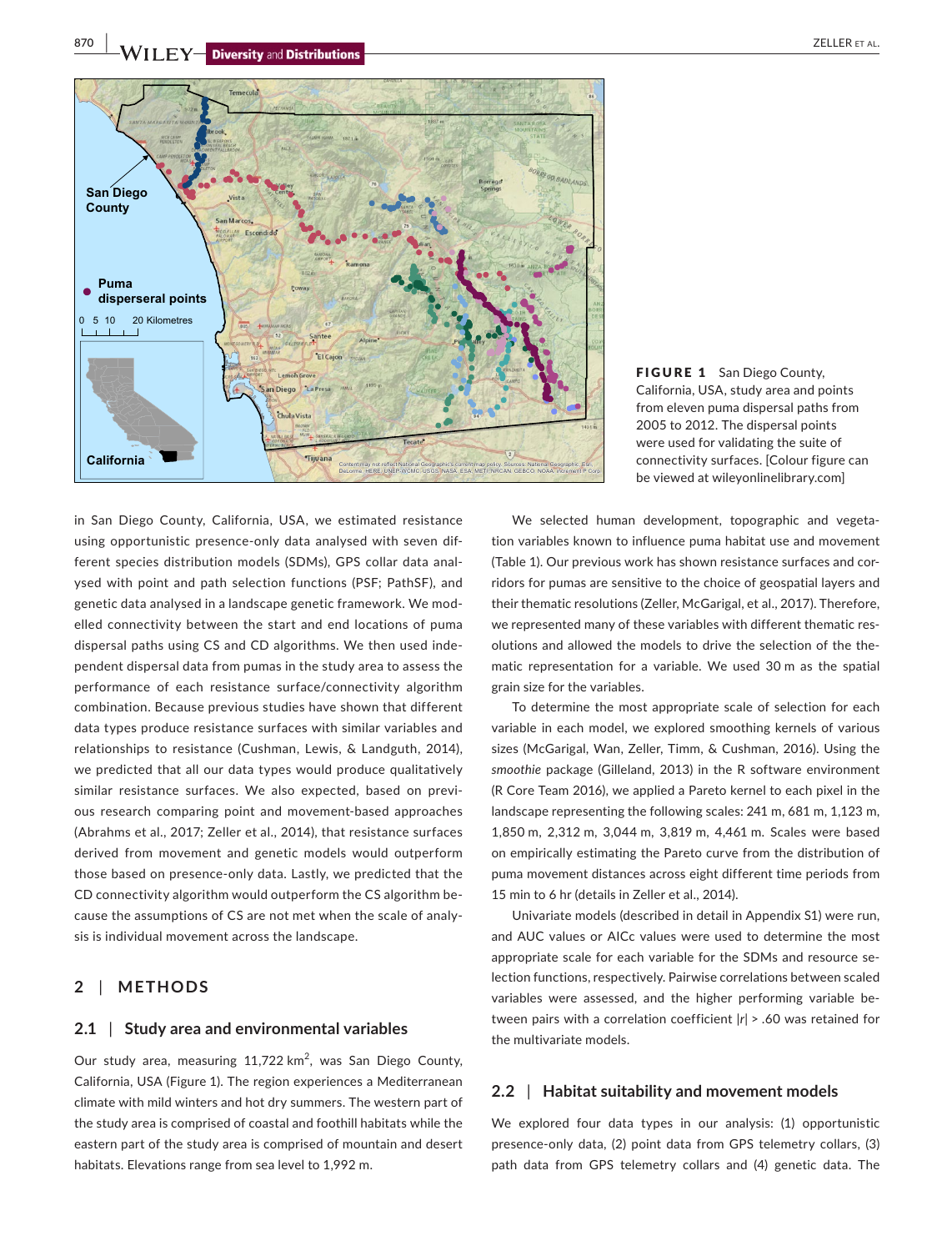**870 WILEY-Diversity** and Distributions **and Containers and Containers and Containers and CELLER ET AL.** 



FIGURE 1 San Diego County, California, USA, study area and points from eleven puma dispersal paths from 2005 to 2012. The dispersal points were used for validating the suite of connectivity surfaces. [Colour figure can be viewed at [wileyonlinelibrary.com\]](www.wileyonlinelibrary.com)

in San Diego County, California, USA, we estimated resistance using opportunistic presence-only data analysed with seven different species distribution models (SDMs), GPS collar data analysed with point and path selection functions (PSF; PathSF), and genetic data analysed in a landscape genetic framework. We modelled connectivity between the start and end locations of puma dispersal paths using CS and CD algorithms. We then used independent dispersal data from pumas in the study area to assess the performance of each resistance surface/connectivity algorithm combination. Because previous studies have shown that different data types produce resistance surfaces with similar variables and relationships to resistance (Cushman, Lewis, & Landguth, 2014), we predicted that all our data types would produce qualitatively similar resistance surfaces. We also expected, based on previous research comparing point and movement-based approaches (Abrahms et al., 2017; Zeller et al., 2014), that resistance surfaces derived from movement and genetic models would outperform those based on presence-only data. Lastly, we predicted that the CD connectivity algorithm would outperform the CS algorithm because the assumptions of CS are not met when the scale of analysis is individual movement across the landscape.

## **2** | **METHODS**

## **2.1** | **Study area and environmental variables**

Our study area, measuring 11,722 km<sup>2</sup>, was San Diego County, California, USA (Figure 1). The region experiences a Mediterranean climate with mild winters and hot dry summers. The western part of the study area is comprised of coastal and foothill habitats while the eastern part of the study area is comprised of mountain and desert habitats. Elevations range from sea level to 1,992 m.

We selected human development, topographic and vegetation variables known to influence puma habitat use and movement (Table 1). Our previous work has shown resistance surfaces and corridors for pumas are sensitive to the choice of geospatial layers and their thematic resolutions (Zeller, McGarigal, et al., 2017). Therefore, we represented many of these variables with different thematic resolutions and allowed the models to drive the selection of the thematic representation for a variable. We used 30 m as the spatial grain size for the variables.

To determine the most appropriate scale of selection for each variable in each model, we explored smoothing kernels of various sizes (McGarigal, Wan, Zeller, Timm, & Cushman, 2016). Using the *smoothie* package (Gilleland, 2013) in the R software environment (R Core Team 2016), we applied a Pareto kernel to each pixel in the landscape representing the following scales: 241 m, 681 m, 1,123 m, 1,850 m, 2,312 m, 3,044 m, 3,819 m, 4,461 m. Scales were based on empirically estimating the Pareto curve from the distribution of puma movement distances across eight different time periods from 15 min to 6 hr (details in Zeller et al., 2014).

Univariate models (described in detail in Appendix S1) were run, and AUC values or AICc values were used to determine the most appropriate scale for each variable for the SDMs and resource selection functions, respectively. Pairwise correlations between scaled variables were assessed, and the higher performing variable between pairs with a correlation coefficient |*r*| > .60 was retained for the multivariate models.

## **2.2** | **Habitat suitability and movement models**

We explored four data types in our analysis: (1) opportunistic presence-only data, (2) point data from GPS telemetry collars, (3) path data from GPS telemetry collars and (4) genetic data. The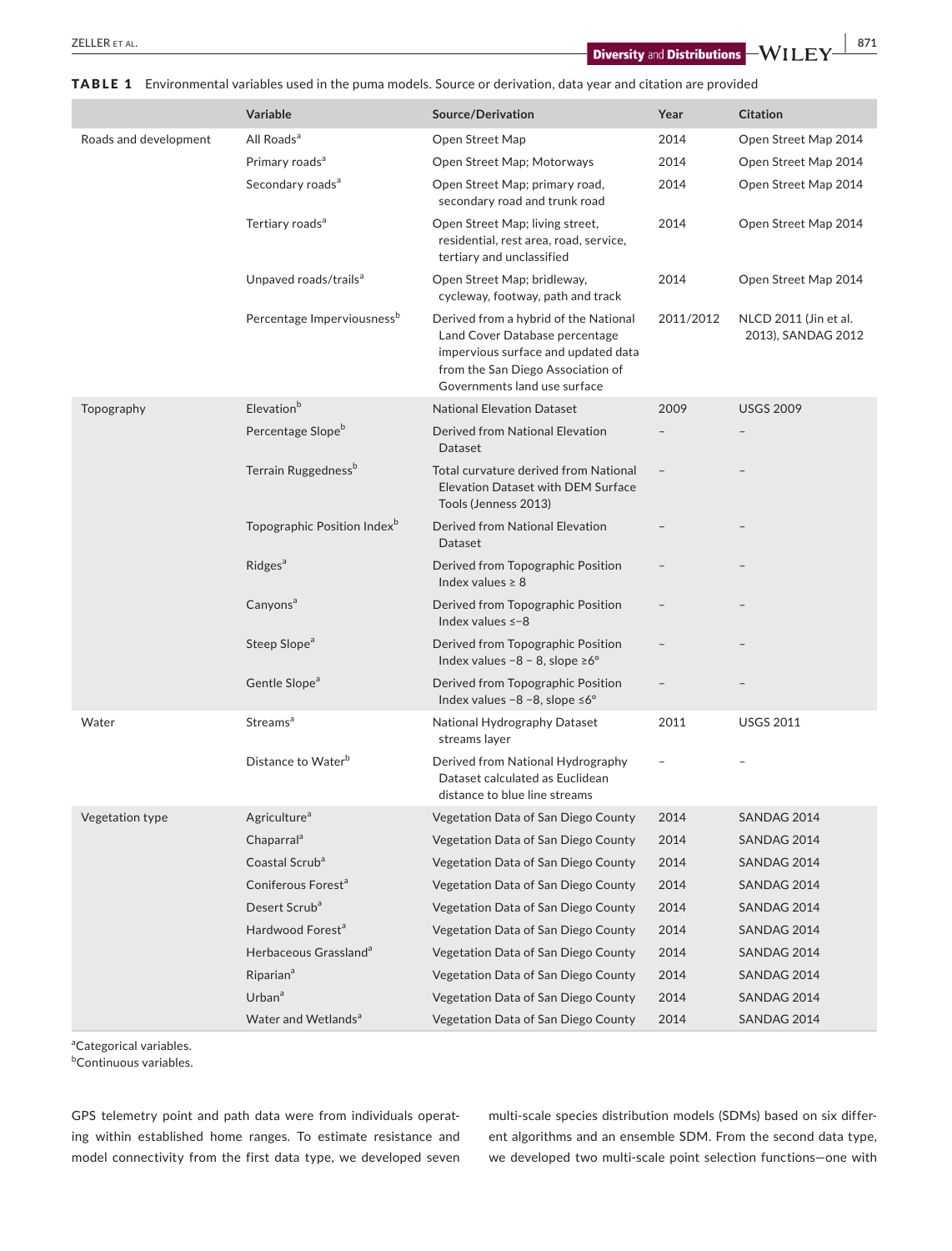**2ELLER** ET AL. **871 EXECUTER ET AL. 871 EXECUTER ET AL. 871 EXECUTER ET AL. 871 EXECUTER EXECUTER** 

|                       | Variable                                | Source/Derivation                                                                                                                                                                   | Year      | <b>Citation</b>                             |  |
|-----------------------|-----------------------------------------|-------------------------------------------------------------------------------------------------------------------------------------------------------------------------------------|-----------|---------------------------------------------|--|
| Roads and development | All Roads <sup>a</sup>                  | Open Street Map                                                                                                                                                                     | 2014      | Open Street Map 2014                        |  |
|                       | Primary roads <sup>a</sup>              | Open Street Map; Motorways                                                                                                                                                          | 2014      | Open Street Map 2014                        |  |
|                       | Secondary roads <sup>a</sup>            | Open Street Map; primary road,<br>secondary road and trunk road                                                                                                                     | 2014      | Open Street Map 2014                        |  |
|                       | Tertiary roads <sup>a</sup>             | Open Street Map; living street,<br>residential, rest area, road, service,<br>tertiary and unclassified                                                                              | 2014      | Open Street Map 2014                        |  |
|                       | Unpaved roads/trails <sup>a</sup>       | Open Street Map; bridleway,<br>cycleway, footway, path and track                                                                                                                    | 2014      | Open Street Map 2014                        |  |
|                       | Percentage Imperviousness <sup>b</sup>  | Derived from a hybrid of the National<br>Land Cover Database percentage<br>impervious surface and updated data<br>from the San Diego Association of<br>Governments land use surface | 2011/2012 | NLCD 2011 (Jin et al.<br>2013), SANDAG 2012 |  |
| Topography            | Elevation <sup>b</sup>                  | <b>National Elevation Dataset</b>                                                                                                                                                   | 2009      | <b>USGS 2009</b>                            |  |
|                       | Percentage Slope <sup>b</sup>           | Derived from National Elevation<br>Dataset                                                                                                                                          |           |                                             |  |
|                       | Terrain Ruggedness <sup>b</sup>         | Total curvature derived from National<br>Elevation Dataset with DEM Surface<br>Tools (Jenness 2013)                                                                                 |           |                                             |  |
|                       | Topographic Position Index <sup>b</sup> | Derived from National Elevation<br>Dataset                                                                                                                                          |           |                                             |  |
|                       | <b>Ridges<sup>a</sup></b>               | Derived from Topographic Position<br>Index values $\geq 8$                                                                                                                          |           |                                             |  |
|                       | Canyons <sup>a</sup>                    | Derived from Topographic Position<br>Index values $\le -8$                                                                                                                          |           |                                             |  |
|                       | Steep Slope <sup>a</sup>                | Derived from Topographic Position<br>Index values $-8 - 8$ , slope $\geq 6^{\circ}$                                                                                                 |           |                                             |  |
|                       | Gentle Slope <sup>a</sup>               | Derived from Topographic Position<br>Index values $-8 - 8$ , slope $\leq 6^{\circ}$                                                                                                 |           |                                             |  |
| Water                 | <b>Streams</b> <sup>a</sup>             | National Hydrography Dataset<br>streams layer                                                                                                                                       | 2011      | <b>USGS 2011</b>                            |  |
|                       | Distance to Water <sup>b</sup>          | Derived from National Hydrography<br>Dataset calculated as Euclidean<br>distance to blue line streams                                                                               |           |                                             |  |
| Vegetation type       | Agriculture <sup>a</sup>                | Vegetation Data of San Diego County                                                                                                                                                 | 2014      | SANDAG 2014                                 |  |
|                       | Chaparral <sup>a</sup>                  | Vegetation Data of San Diego County                                                                                                                                                 | 2014      | SANDAG 2014                                 |  |
|                       | Coastal Scrub <sup>a</sup>              | Vegetation Data of San Diego County                                                                                                                                                 | 2014      | SANDAG 2014                                 |  |
|                       | Coniferous Forest <sup>a</sup>          | Vegetation Data of San Diego County                                                                                                                                                 | 2014      | SANDAG 2014                                 |  |
|                       | Desert Scrub <sup>a</sup>               | Vegetation Data of San Diego County                                                                                                                                                 | 2014      | SANDAG 2014                                 |  |
|                       | Hardwood Forest <sup>a</sup>            | Vegetation Data of San Diego County                                                                                                                                                 | 2014      | SANDAG 2014                                 |  |
|                       | Herbaceous Grassland <sup>a</sup>       | Vegetation Data of San Diego County                                                                                                                                                 | 2014      | SANDAG 2014                                 |  |
|                       | Riparian <sup>a</sup>                   | Vegetation Data of San Diego County                                                                                                                                                 | 2014      | SANDAG 2014                                 |  |
|                       | Urban <sup>a</sup>                      | Vegetation Data of San Diego County                                                                                                                                                 | 2014      | SANDAG 2014                                 |  |
|                       | Water and Wetlands <sup>a</sup>         | Vegetation Data of San Diego County                                                                                                                                                 | 2014      | SANDAG 2014                                 |  |

TABLE 1 Environmental variables used in the puma models. Source or derivation, data year and citation are provided

<sup>a</sup>Categorical variables.

<sup>b</sup>Continuous variables.

GPS telemetry point and path data were from individuals operating within established home ranges. To estimate resistance and model connectivity from the first data type, we developed seven

multi-scale species distribution models (SDMs) based on six different algorithms and an ensemble SDM. From the second data type, we developed two multi-scale point selection functions—one with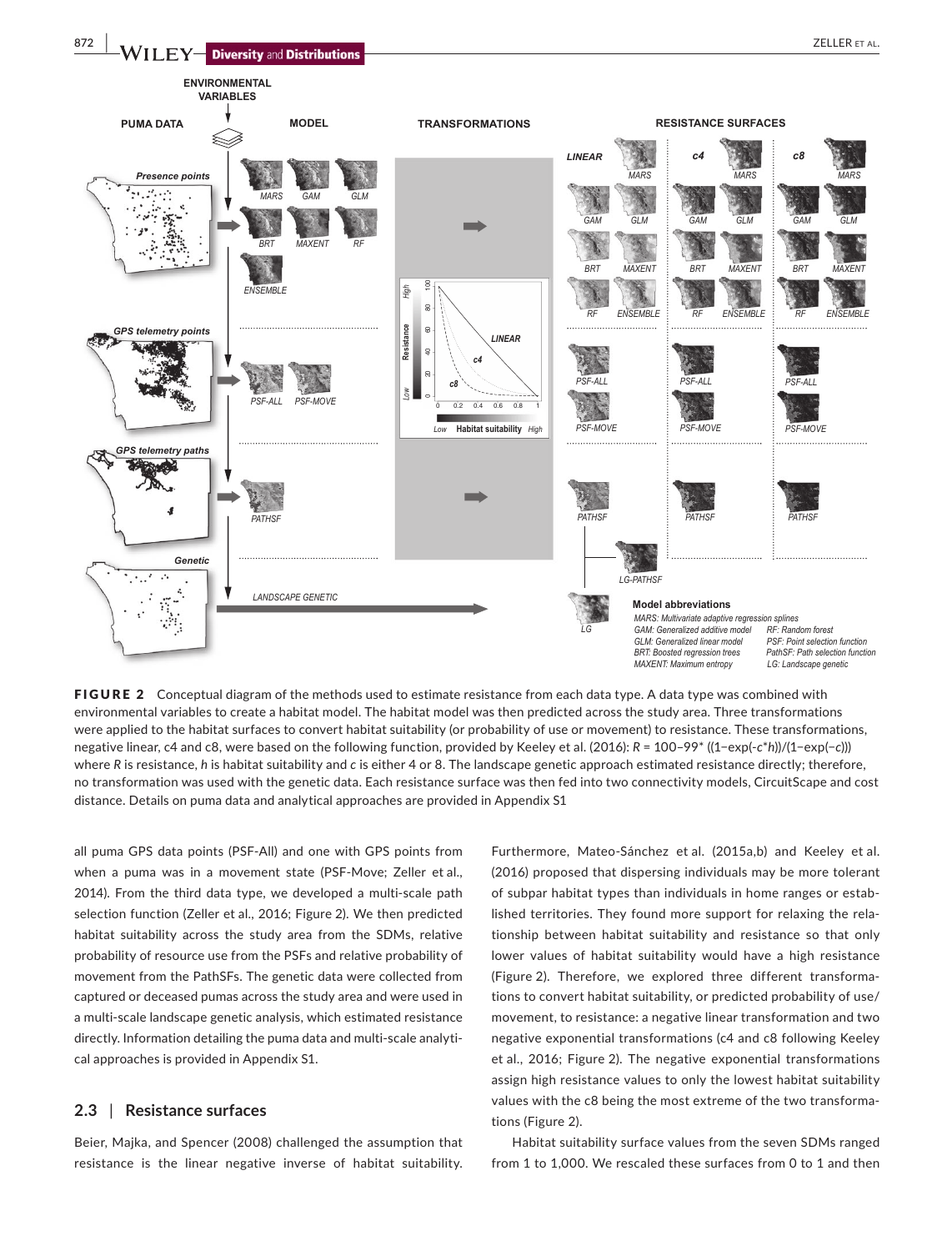

FIGURE 2 Conceptual diagram of the methods used to estimate resistance from each data type. A data type was combined with environmental variables to create a habitat model. The habitat model was then predicted across the study area. Three transformations were applied to the habitat surfaces to convert habitat suitability (or probability of use or movement) to resistance. These transformations, negative linear, c4 and c8, were based on the following function, provided by Keeley et al. (2016): *R* = 100–99\* ((1−exp(-*c*\**h*))/(1−exp(−*c*))) where *R* is resistance, *h* is habitat suitability and *c* is either 4 or 8. The landscape genetic approach estimated resistance directly; therefore, no transformation was used with the genetic data. Each resistance surface was then fed into two connectivity models, CircuitScape and cost distance. Details on puma data and analytical approaches are provided in Appendix S1

all puma GPS data points (PSF-All) and one with GPS points from when a puma was in a movement state (PSF-Move; Zeller et al., 2014). From the third data type, we developed a multi-scale path selection function (Zeller et al., 2016; Figure 2). We then predicted habitat suitability across the study area from the SDMs, relative probability of resource use from the PSFs and relative probability of movement from the PathSFs. The genetic data were collected from captured or deceased pumas across the study area and were used in a multi-scale landscape genetic analysis, which estimated resistance directly. Information detailing the puma data and multi-scale analytical approaches is provided in Appendix S1.

## **2.3** | **Resistance surfaces**

Beier, Majka, and Spencer (2008) challenged the assumption that resistance is the linear negative inverse of habitat suitability.

Furthermore, Mateo-Sánchez et al. (2015a,b) and Keeley et al. (2016) proposed that dispersing individuals may be more tolerant of subpar habitat types than individuals in home ranges or established territories. They found more support for relaxing the relationship between habitat suitability and resistance so that only lower values of habitat suitability would have a high resistance (Figure 2). Therefore, we explored three different transformations to convert habitat suitability, or predicted probability of use/ movement, to resistance: a negative linear transformation and two negative exponential transformations (c4 and c8 following Keeley et al., 2016; Figure 2). The negative exponential transformations assign high resistance values to only the lowest habitat suitability values with the c8 being the most extreme of the two transformations (Figure 2).

Habitat suitability surface values from the seven SDMs ranged from 1 to 1,000. We rescaled these surfaces from 0 to 1 and then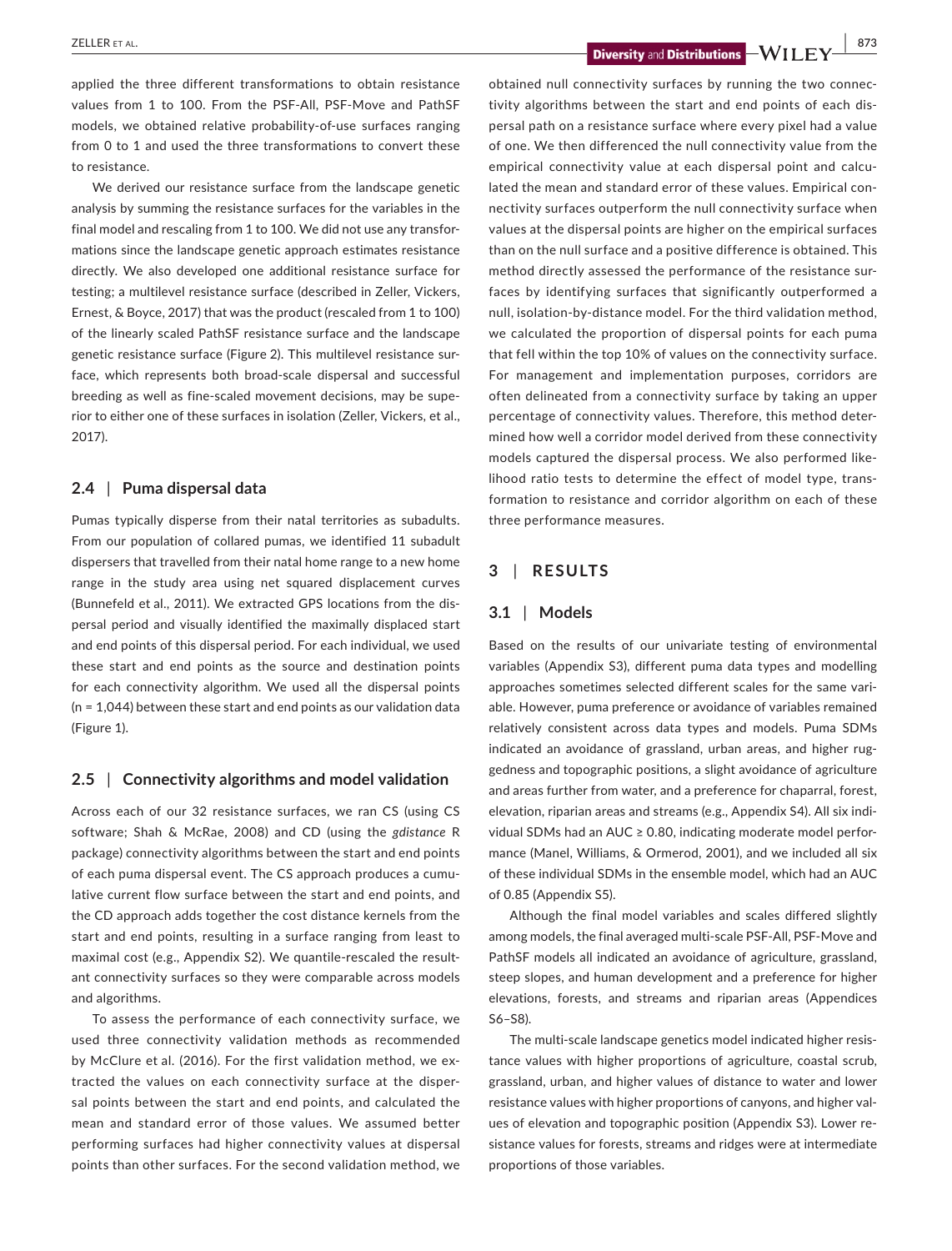**2018 CLUER ET AL. BUT ALL CLUER ET AL. BUT ALL CLUER ET AL. BUT ALL CLUER ET AL. BUT ALL CLUER ET AL. BUT ALL CLUER ET AL. BUT ALL CLUER ET AL. BUT ALL CLUER ET AL. BUT ALL CLUER ET AL. BUT ALL CLUER ET** 

applied the three different transformations to obtain resistance values from 1 to 100. From the PSF-All, PSF-Move and PathSF models, we obtained relative probability-of-use surfaces ranging from 0 to 1 and used the three transformations to convert these to resistance.

We derived our resistance surface from the landscape genetic analysis by summing the resistance surfaces for the variables in the final model and rescaling from 1 to 100. We did not use any transformations since the landscape genetic approach estimates resistance directly. We also developed one additional resistance surface for testing; a multilevel resistance surface (described in Zeller, Vickers, Ernest, & Boyce, 2017) that was the product (rescaled from 1 to 100) of the linearly scaled PathSF resistance surface and the landscape genetic resistance surface (Figure 2). This multilevel resistance surface, which represents both broad-scale dispersal and successful breeding as well as fine-scaled movement decisions, may be superior to either one of these surfaces in isolation (Zeller, Vickers, et al., 2017).

## **2.4** | **Puma dispersal data**

Pumas typically disperse from their natal territories as subadults. From our population of collared pumas, we identified 11 subadult dispersers that travelled from their natal home range to a new home range in the study area using net squared displacement curves (Bunnefeld et al., 2011). We extracted GPS locations from the dispersal period and visually identified the maximally displaced start and end points of this dispersal period. For each individual, we used these start and end points as the source and destination points for each connectivity algorithm. We used all the dispersal points (n = 1,044) between these start and end points as our validation data (Figure 1).

## **2.5** | **Connectivity algorithms and model validation**

Across each of our 32 resistance surfaces, we ran CS (using CS software; Shah & McRae, 2008) and CD (using the *gdistance* R package) connectivity algorithms between the start and end points of each puma dispersal event. The CS approach produces a cumulative current flow surface between the start and end points, and the CD approach adds together the cost distance kernels from the start and end points, resulting in a surface ranging from least to maximal cost (e.g., Appendix S2). We quantile-rescaled the resultant connectivity surfaces so they were comparable across models and algorithms.

To assess the performance of each connectivity surface, we used three connectivity validation methods as recommended by McClure et al. (2016). For the first validation method, we extracted the values on each connectivity surface at the dispersal points between the start and end points, and calculated the mean and standard error of those values. We assumed better performing surfaces had higher connectivity values at dispersal points than other surfaces. For the second validation method, we

obtained null connectivity surfaces by running the two connectivity algorithms between the start and end points of each dispersal path on a resistance surface where every pixel had a value of one. We then differenced the null connectivity value from the empirical connectivity value at each dispersal point and calculated the mean and standard error of these values. Empirical connectivity surfaces outperform the null connectivity surface when values at the dispersal points are higher on the empirical surfaces than on the null surface and a positive difference is obtained. This method directly assessed the performance of the resistance surfaces by identifying surfaces that significantly outperformed a null, isolation-by-distance model. For the third validation method, we calculated the proportion of dispersal points for each puma that fell within the top 10% of values on the connectivity surface. For management and implementation purposes, corridors are often delineated from a connectivity surface by taking an upper percentage of connectivity values. Therefore, this method determined how well a corridor model derived from these connectivity models captured the dispersal process. We also performed likelihood ratio tests to determine the effect of model type, transformation to resistance and corridor algorithm on each of these three performance measures.

## **3** | **RESULTS**

## **3.1** | **Models**

Based on the results of our univariate testing of environmental variables (Appendix S3), different puma data types and modelling approaches sometimes selected different scales for the same variable. However, puma preference or avoidance of variables remained relatively consistent across data types and models. Puma SDMs indicated an avoidance of grassland, urban areas, and higher ruggedness and topographic positions, a slight avoidance of agriculture and areas further from water, and a preference for chaparral, forest, elevation, riparian areas and streams (e.g., Appendix S4). All six individual SDMs had an AUC ≥ 0.80, indicating moderate model performance (Manel, Williams, & Ormerod, 2001), and we included all six of these individual SDMs in the ensemble model, which had an AUC of 0.85 (Appendix S5).

Although the final model variables and scales differed slightly among models, the final averaged multi-scale PSF-All, PSF-Move and PathSF models all indicated an avoidance of agriculture, grassland, steep slopes, and human development and a preference for higher elevations, forests, and streams and riparian areas (Appendices S6–S8).

The multi-scale landscape genetics model indicated higher resistance values with higher proportions of agriculture, coastal scrub, grassland, urban, and higher values of distance to water and lower resistance values with higher proportions of canyons, and higher values of elevation and topographic position (Appendix S3). Lower resistance values for forests, streams and ridges were at intermediate proportions of those variables.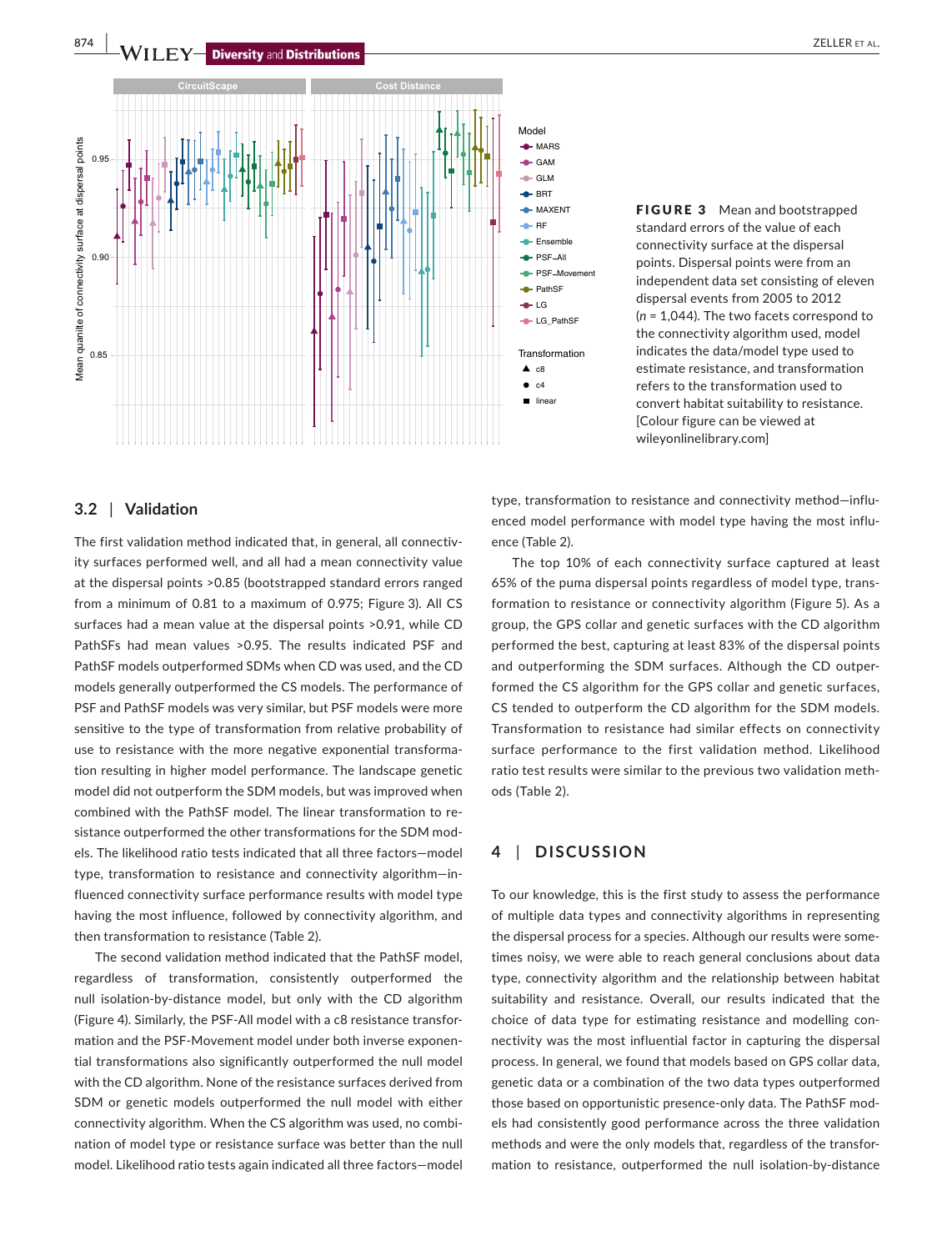

FIGURE 3 Mean and bootstrapped standard errors of the value of each connectivity surface at the dispersal points. Dispersal points were from an independent data set consisting of eleven dispersal events from 2005 to 2012 (*n* = 1,044). The two facets correspond to the connectivity algorithm used, model indicates the data/model type used to estimate resistance, and transformation refers to the transformation used to convert habitat suitability to resistance.

[Colour figure can be viewed at [wileyonlinelibrary.com\]](www.wileyonlinelibrary.com)

## **3.2** | **Validation**

The first validation method indicated that, in general, all connectivity surfaces performed well, and all had a mean connectivity value at the dispersal points >0.85 (bootstrapped standard errors ranged from a minimum of 0.81 to a maximum of 0.975; Figure 3). All CS surfaces had a mean value at the dispersal points >0.91, while CD PathSFs had mean values >0.95. The results indicated PSF and PathSF models outperformed SDMs when CD was used, and the CD models generally outperformed the CS models. The performance of PSF and PathSF models was very similar, but PSF models were more sensitive to the type of transformation from relative probability of use to resistance with the more negative exponential transformation resulting in higher model performance. The landscape genetic model did not outperform the SDM models, but was improved when combined with the PathSF model. The linear transformation to resistance outperformed the other transformations for the SDM models. The likelihood ratio tests indicated that all three factors—model type, transformation to resistance and connectivity algorithm—influenced connectivity surface performance results with model type having the most influence, followed by connectivity algorithm, and then transformation to resistance (Table 2).

The second validation method indicated that the PathSF model, regardless of transformation, consistently outperformed the null isolation-by-distance model, but only with the CD algorithm (Figure 4). Similarly, the PSF-All model with a c8 resistance transformation and the PSF-Movement model under both inverse exponential transformations also significantly outperformed the null model with the CD algorithm. None of the resistance surfaces derived from SDM or genetic models outperformed the null model with either connectivity algorithm. When the CS algorithm was used, no combination of model type or resistance surface was better than the null model. Likelihood ratio tests again indicated all three factors—model

type, transformation to resistance and connectivity method—influenced model performance with model type having the most influence (Table 2).

The top 10% of each connectivity surface captured at least 65% of the puma dispersal points regardless of model type, transformation to resistance or connectivity algorithm (Figure 5). As a group, the GPS collar and genetic surfaces with the CD algorithm performed the best, capturing at least 83% of the dispersal points and outperforming the SDM surfaces. Although the CD outperformed the CS algorithm for the GPS collar and genetic surfaces, CS tended to outperform the CD algorithm for the SDM models. Transformation to resistance had similar effects on connectivity surface performance to the first validation method. Likelihood ratio test results were similar to the previous two validation methods (Table 2).

## **4** | **DISCUSSION**

To our knowledge, this is the first study to assess the performance of multiple data types and connectivity algorithms in representing the dispersal process for a species. Although our results were sometimes noisy, we were able to reach general conclusions about data type, connectivity algorithm and the relationship between habitat suitability and resistance. Overall, our results indicated that the choice of data type for estimating resistance and modelling connectivity was the most influential factor in capturing the dispersal process. In general, we found that models based on GPS collar data, genetic data or a combination of the two data types outperformed those based on opportunistic presence-only data. The PathSF models had consistently good performance across the three validation methods and were the only models that, regardless of the transformation to resistance, outperformed the null isolation-by-distance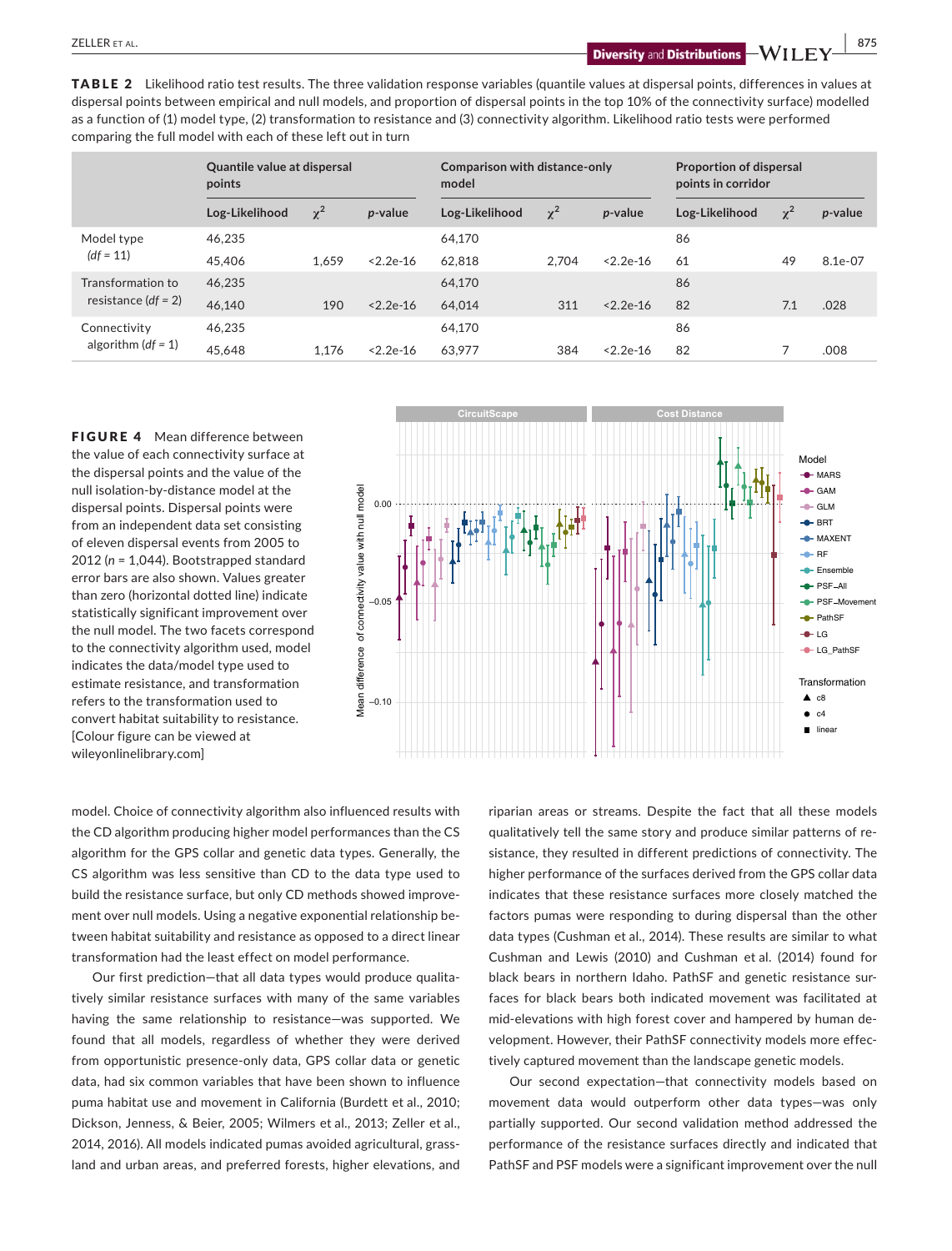**ZELLER** ET AL. **875**<br>**Diversity** and **Distributions**  $\rightarrow$  **WII** FY  $\rightarrow$  875

TABLE 2 Likelihood ratio test results. The three validation response variables (quantile values at dispersal points, differences in values at dispersal points between empirical and null models, and proportion of dispersal points in the top 10% of the connectivity surface) modelled as a function of (1) model type, (2) transformation to resistance and (3) connectivity algorithm. Likelihood ratio tests were performed comparing the full model with each of these left out in turn

|                                            | <b>Quantile value at dispersal</b><br>points |          |                 | Comparison with distance-only<br>model |          |                 | <b>Proportion of dispersal</b><br>points in corridor |          |         |
|--------------------------------------------|----------------------------------------------|----------|-----------------|----------------------------------------|----------|-----------------|------------------------------------------------------|----------|---------|
|                                            | Log-Likelihood                               | $\chi^2$ | <i>p</i> -value | Log-Likelihood                         | $\chi^2$ | <i>p</i> -value | Log-Likelihood                                       | $\chi^2$ | p-value |
| Model type<br>$(df = 11)$                  | 46.235                                       |          |                 | 64,170                                 |          |                 | 86                                                   |          |         |
|                                            | 45,406                                       | 1.659    | $< 2.2e-16$     | 62.818                                 | 2.704    | $2.2e-16$       | 61                                                   | 49       | 8.1e-07 |
| Transformation to<br>resistance $(df = 2)$ | 46.235                                       |          |                 | 64,170                                 |          |                 | 86                                                   |          |         |
|                                            | 46.140                                       | 190      | $< 2.2e-16$     | 64.014                                 | 311      | $2.2e-16$       | 82                                                   | 7.1      | .028    |
| Connectivity<br>algorithm $(df = 1)$       | 46.235                                       |          |                 | 64,170                                 |          |                 | 86                                                   |          |         |
|                                            | 45,648                                       | 1.176    | $< 2.2e-16$     | 63.977                                 | 384      | $< 2.2e-16$     | 82                                                   |          | .008    |

**FIGURE 4** Mean difference between the value of each connectivity surface at the dispersal points and the value of the null isolation-by-distance model at the dispersal points. Dispersal points were from an independent data set consisting of eleven dispersal events from 2005 to 2012 (*n* = 1,044). Bootstrapped standard error bars are also shown. Values greater than zero (horizontal dotted line) indicate statistically significant improvement over the null model. The two facets correspond to the connectivity algorithm used, model indicates the data/model type used to estimate resistance, and transformation refers to the transformation used to convert habitat suitability to resistance. [Colour figure can be viewed at [wileyonlinelibrary.com\]](www.wileyonlinelibrary.com)



model. Choice of connectivity algorithm also influenced results with the CD algorithm producing higher model performances than the CS algorithm for the GPS collar and genetic data types. Generally, the CS algorithm was less sensitive than CD to the data type used to build the resistance surface, but only CD methods showed improvement over null models. Using a negative exponential relationship between habitat suitability and resistance as opposed to a direct linear transformation had the least effect on model performance.

Our first prediction—that all data types would produce qualitatively similar resistance surfaces with many of the same variables having the same relationship to resistance—was supported. We found that all models, regardless of whether they were derived from opportunistic presence-only data, GPS collar data or genetic data, had six common variables that have been shown to influence puma habitat use and movement in California (Burdett et al., 2010; Dickson, Jenness, & Beier, 2005; Wilmers et al., 2013; Zeller et al., 2014, 2016). All models indicated pumas avoided agricultural, grassland and urban areas, and preferred forests, higher elevations, and

riparian areas or streams. Despite the fact that all these models qualitatively tell the same story and produce similar patterns of resistance, they resulted in different predictions of connectivity. The higher performance of the surfaces derived from the GPS collar data indicates that these resistance surfaces more closely matched the factors pumas were responding to during dispersal than the other data types (Cushman et al., 2014). These results are similar to what Cushman and Lewis (2010) and Cushman et al. (2014) found for black bears in northern Idaho. PathSF and genetic resistance surfaces for black bears both indicated movement was facilitated at mid-elevations with high forest cover and hampered by human development. However, their PathSF connectivity models more effectively captured movement than the landscape genetic models.

Our second expectation—that connectivity models based on movement data would outperform other data types—was only partially supported. Our second validation method addressed the performance of the resistance surfaces directly and indicated that PathSF and PSF models were a significant improvement over the null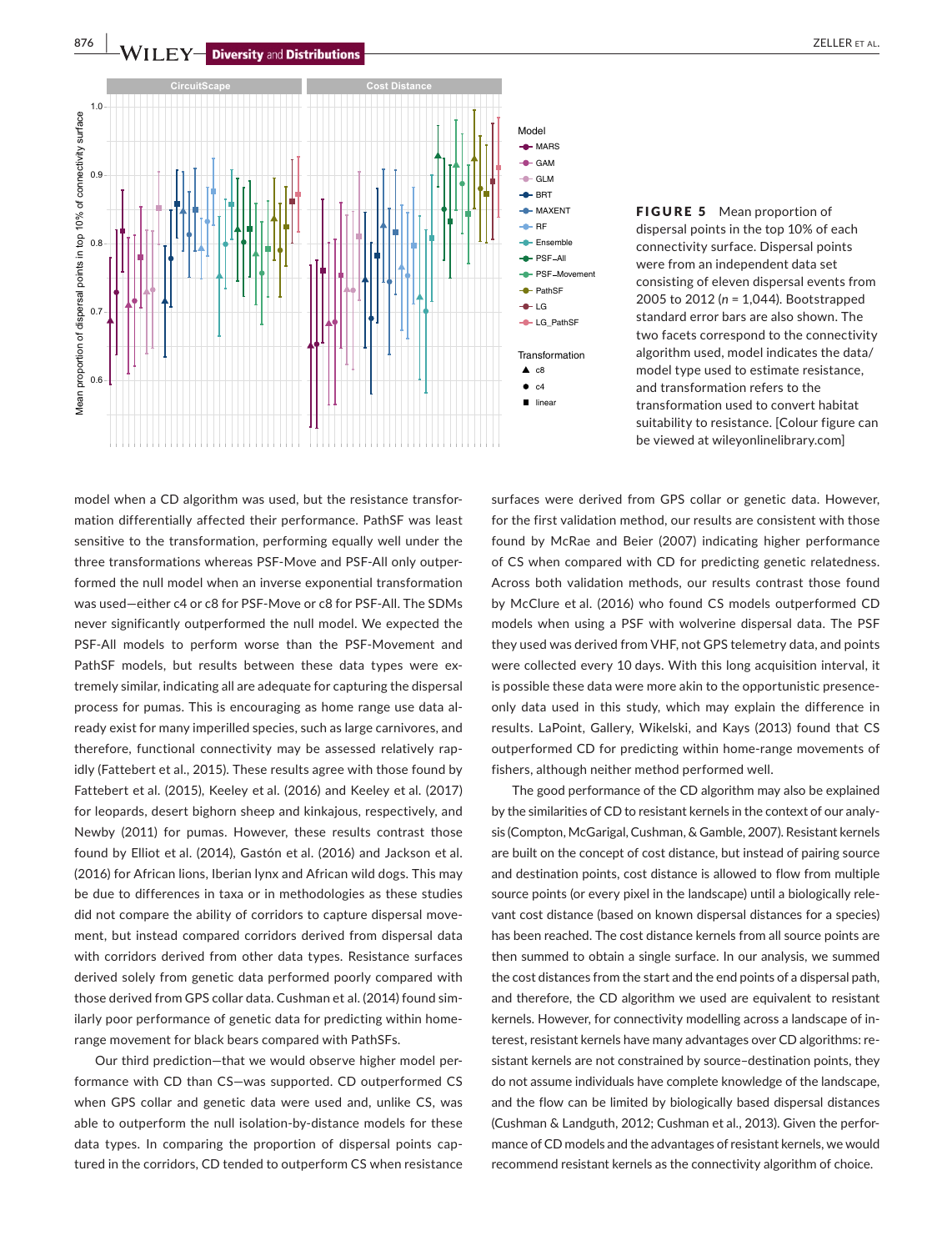

FIGURE 5 Mean proportion of dispersal points in the top 10% of each connectivity surface. Dispersal points were from an independent data set consisting of eleven dispersal events from 2005 to 2012 (*n* = 1,044). Bootstrapped standard error bars are also shown. The two facets correspond to the connectivity algorithm used, model indicates the data/ model type used to estimate resistance, and transformation refers to the transformation used to convert habitat suitability to resistance. [Colour figure can be viewed at [wileyonlinelibrary.com\]](www.wileyonlinelibrary.com)

model when a CD algorithm was used, but the resistance transformation differentially affected their performance. PathSF was least sensitive to the transformation, performing equally well under the three transformations whereas PSF-Move and PSF-All only outperformed the null model when an inverse exponential transformation was used—either c4 or c8 for PSF-Move or c8 for PSF-All. The SDMs never significantly outperformed the null model. We expected the PSF-All models to perform worse than the PSF-Movement and PathSF models, but results between these data types were extremely similar, indicating all are adequate for capturing the dispersal process for pumas. This is encouraging as home range use data already exist for many imperilled species, such as large carnivores, and therefore, functional connectivity may be assessed relatively rapidly (Fattebert et al., 2015). These results agree with those found by Fattebert et al. (2015), Keeley et al. (2016) and Keeley et al. (2017) for leopards, desert bighorn sheep and kinkajous, respectively, and Newby (2011) for pumas. However, these results contrast those found by Elliot et al. (2014), Gastón et al. (2016) and Jackson et al. (2016) for African lions, Iberian lynx and African wild dogs. This may be due to differences in taxa or in methodologies as these studies did not compare the ability of corridors to capture dispersal movement, but instead compared corridors derived from dispersal data with corridors derived from other data types. Resistance surfaces derived solely from genetic data performed poorly compared with those derived from GPS collar data. Cushman et al. (2014) found similarly poor performance of genetic data for predicting within homerange movement for black bears compared with PathSFs.

Our third prediction—that we would observe higher model performance with CD than CS—was supported. CD outperformed CS when GPS collar and genetic data were used and, unlike CS, was able to outperform the null isolation-by-distance models for these data types. In comparing the proportion of dispersal points captured in the corridors, CD tended to outperform CS when resistance surfaces were derived from GPS collar or genetic data. However, for the first validation method, our results are consistent with those found by McRae and Beier (2007) indicating higher performance of CS when compared with CD for predicting genetic relatedness. Across both validation methods, our results contrast those found by McClure et al. (2016) who found CS models outperformed CD models when using a PSF with wolverine dispersal data. The PSF they used was derived from VHF, not GPS telemetry data, and points were collected every 10 days. With this long acquisition interval, it is possible these data were more akin to the opportunistic presenceonly data used in this study, which may explain the difference in results. LaPoint, Gallery, Wikelski, and Kays (2013) found that CS outperformed CD for predicting within home-range movements of fishers, although neither method performed well.

The good performance of the CD algorithm may also be explained by the similarities of CD to resistant kernels in the context of our analysis (Compton, McGarigal, Cushman, & Gamble, 2007). Resistant kernels are built on the concept of cost distance, but instead of pairing source and destination points, cost distance is allowed to flow from multiple source points (or every pixel in the landscape) until a biologically relevant cost distance (based on known dispersal distances for a species) has been reached. The cost distance kernels from all source points are then summed to obtain a single surface. In our analysis, we summed the cost distances from the start and the end points of a dispersal path, and therefore, the CD algorithm we used are equivalent to resistant kernels. However, for connectivity modelling across a landscape of interest, resistant kernels have many advantages over CD algorithms: resistant kernels are not constrained by source–destination points, they do not assume individuals have complete knowledge of the landscape, and the flow can be limited by biologically based dispersal distances (Cushman & Landguth, 2012; Cushman et al., 2013). Given the performance of CD models and the advantages of resistant kernels, we would recommend resistant kernels as the connectivity algorithm of choice.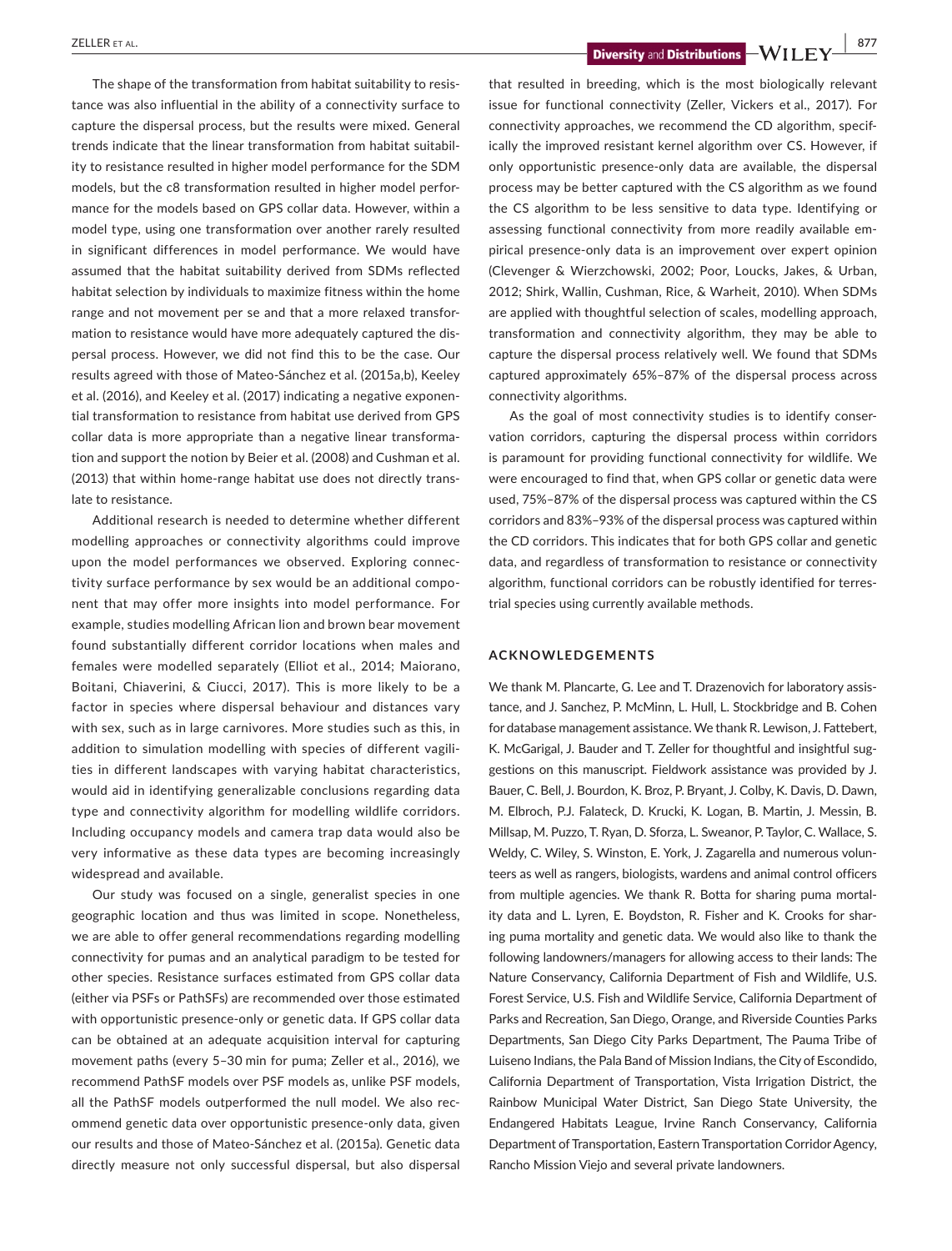The shape of the transformation from habitat suitability to resistance was also influential in the ability of a connectivity surface to capture the dispersal process, but the results were mixed. General trends indicate that the linear transformation from habitat suitability to resistance resulted in higher model performance for the SDM models, but the c8 transformation resulted in higher model performance for the models based on GPS collar data. However, within a model type, using one transformation over another rarely resulted in significant differences in model performance. We would have assumed that the habitat suitability derived from SDMs reflected habitat selection by individuals to maximize fitness within the home range and not movement per se and that a more relaxed transformation to resistance would have more adequately captured the dispersal process. However, we did not find this to be the case. Our results agreed with those of Mateo-Sánchez et al. (2015a,b), Keeley et al. (2016), and Keeley et al. (2017) indicating a negative exponential transformation to resistance from habitat use derived from GPS collar data is more appropriate than a negative linear transformation and support the notion by Beier et al. (2008) and Cushman et al. (2013) that within home-range habitat use does not directly translate to resistance.

Additional research is needed to determine whether different modelling approaches or connectivity algorithms could improve upon the model performances we observed. Exploring connectivity surface performance by sex would be an additional component that may offer more insights into model performance. For example, studies modelling African lion and brown bear movement found substantially different corridor locations when males and females were modelled separately (Elliot et al., 2014; Maiorano, Boitani, Chiaverini, & Ciucci, 2017). This is more likely to be a factor in species where dispersal behaviour and distances vary with sex, such as in large carnivores. More studies such as this, in addition to simulation modelling with species of different vagilities in different landscapes with varying habitat characteristics, would aid in identifying generalizable conclusions regarding data type and connectivity algorithm for modelling wildlife corridors. Including occupancy models and camera trap data would also be very informative as these data types are becoming increasingly widespread and available.

Our study was focused on a single, generalist species in one geographic location and thus was limited in scope. Nonetheless, we are able to offer general recommendations regarding modelling connectivity for pumas and an analytical paradigm to be tested for other species. Resistance surfaces estimated from GPS collar data (either via PSFs or PathSFs) are recommended over those estimated with opportunistic presence-only or genetic data. If GPS collar data can be obtained at an adequate acquisition interval for capturing movement paths (every 5–30 min for puma; Zeller et al., 2016), we recommend PathSF models over PSF models as, unlike PSF models, all the PathSF models outperformed the null model. We also recommend genetic data over opportunistic presence-only data, given our results and those of Mateo-Sánchez et al. (2015a). Genetic data directly measure not only successful dispersal, but also dispersal

 **2012 CELLER** ET AL. **877**<br>*Diversity and Distributions*  $-WII$  ,  $FY$  ,  $877$ 

that resulted in breeding, which is the most biologically relevant issue for functional connectivity (Zeller, Vickers et al., 2017). For connectivity approaches, we recommend the CD algorithm, specifically the improved resistant kernel algorithm over CS. However, if only opportunistic presence-only data are available, the dispersal process may be better captured with the CS algorithm as we found the CS algorithm to be less sensitive to data type. Identifying or assessing functional connectivity from more readily available empirical presence-only data is an improvement over expert opinion (Clevenger & Wierzchowski, 2002; Poor, Loucks, Jakes, & Urban, 2012; Shirk, Wallin, Cushman, Rice, & Warheit, 2010). When SDMs are applied with thoughtful selection of scales, modelling approach, transformation and connectivity algorithm, they may be able to capture the dispersal process relatively well. We found that SDMs captured approximately 65%–87% of the dispersal process across connectivity algorithms.

As the goal of most connectivity studies is to identify conservation corridors, capturing the dispersal process within corridors is paramount for providing functional connectivity for wildlife. We were encouraged to find that, when GPS collar or genetic data were used, 75%–87% of the dispersal process was captured within the CS corridors and 83%–93% of the dispersal process was captured within the CD corridors. This indicates that for both GPS collar and genetic data, and regardless of transformation to resistance or connectivity algorithm, functional corridors can be robustly identified for terrestrial species using currently available methods.

#### **ACKNOWLEDGEMENTS**

We thank M. Plancarte, G. Lee and T. Drazenovich for laboratory assistance, and J. Sanchez, P. McMinn, L. Hull, L. Stockbridge and B. Cohen for database management assistance. We thank R. Lewison, J. Fattebert, K. McGarigal, J. Bauder and T. Zeller for thoughtful and insightful suggestions on this manuscript. Fieldwork assistance was provided by J. Bauer, C. Bell, J. Bourdon, K. Broz, P. Bryant, J. Colby, K. Davis, D. Dawn, M. Elbroch, P.J. Falateck, D. Krucki, K. Logan, B. Martin, J. Messin, B. Millsap, M. Puzzo, T. Ryan, D. Sforza, L. Sweanor, P. Taylor, C. Wallace, S. Weldy, C. Wiley, S. Winston, E. York, J. Zagarella and numerous volunteers as well as rangers, biologists, wardens and animal control officers from multiple agencies. We thank R. Botta for sharing puma mortality data and L. Lyren, E. Boydston, R. Fisher and K. Crooks for sharing puma mortality and genetic data. We would also like to thank the following landowners/managers for allowing access to their lands: The Nature Conservancy, California Department of Fish and Wildlife, U.S. Forest Service, U.S. Fish and Wildlife Service, California Department of Parks and Recreation, San Diego, Orange, and Riverside Counties Parks Departments, San Diego City Parks Department, The Pauma Tribe of Luiseno Indians, the Pala Band of Mission Indians, the City of Escondido, California Department of Transportation, Vista Irrigation District, the Rainbow Municipal Water District, San Diego State University, the Endangered Habitats League, Irvine Ranch Conservancy, California Department of Transportation, Eastern Transportation Corridor Agency, Rancho Mission Viejo and several private landowners.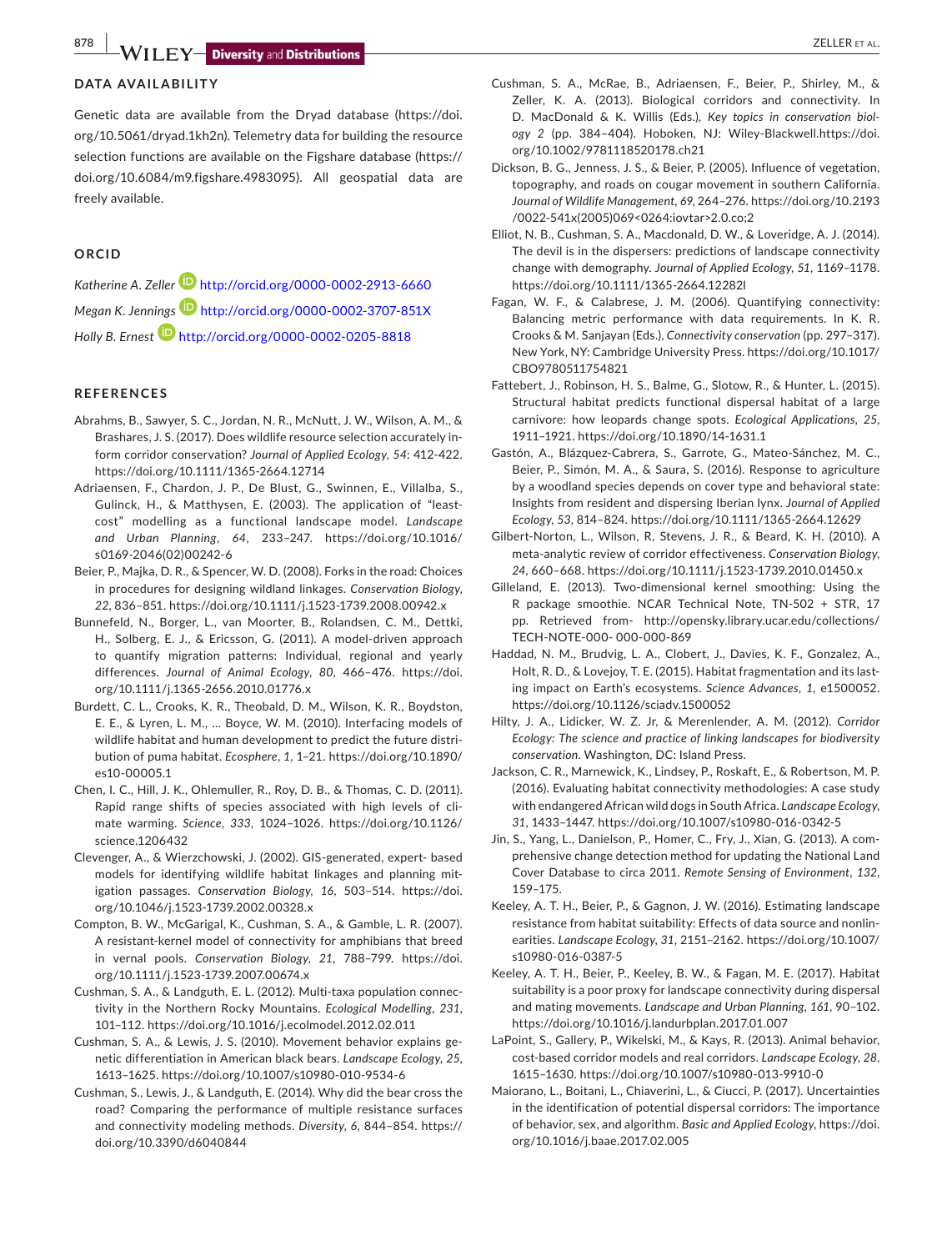**878 WILEY-Diversity** and **Distributions** 

## **DATA AVAILABILITY**

Genetic data are available from the Dryad database [\(https://doi.](https://doi.org/10.5061/dryad.1kh2n) [org/10.5061/dryad.1kh2n](https://doi.org/10.5061/dryad.1kh2n)). Telemetry data for building the resource selection functions are available on the Figshare database [\(https://](https://doi.org/10.6084/m9.figshare.4983095) [doi.org/10.6084/m9.figshare.4983095](https://doi.org/10.6084/m9.figshare.4983095)). All geospatial data are freely available.

#### **ORCID**

*Katherine A. Zeller* <http://orcid.org/0000-0002-2913-6660> *Megan K. Jenning[s](http://orcid.org/0000-0002-3707-851X)* <http://orcid.org/0000-0002-3707-851X> *Holly B. Ernest* <http://orcid.org/0000-0002-0205-8818>

## **REFERENCES**

- Abrahms, B., Sawyer, S. C., Jordan, N. R., McNutt, J. W., Wilson, A. M., & Brashares, J. S. (2017). Does wildlife resource selection accurately inform corridor conservation? *Journal of Applied Ecology*, *54*: 412-422. <https://doi.org/10.1111/1365-2664.12714>
- Adriaensen, F., Chardon, J. P., De Blust, G., Swinnen, E., Villalba, S., Gulinck, H., & Matthysen, E. (2003). The application of "leastcost" modelling as a functional landscape model. *Landscape and Urban Planning*, *64*, 233–247. [https://doi.org/10.1016/](https://doi.org/10.1016/s0169-2046(02)00242-6) [s0169-2046\(02\)00242-6](https://doi.org/10.1016/s0169-2046(02)00242-6)
- Beier, P., Majka, D. R., & Spencer, W. D. (2008). Forks in the road: Choices in procedures for designing wildland linkages. *Conservation Biology*, *22*, 836–851. <https://doi.org/10.1111/j.1523-1739.2008.00942.x>
- Bunnefeld, N., Borger, L., van Moorter, B., Rolandsen, C. M., Dettki, H., Solberg, E. J., & Ericsson, G. (2011). A model-driven approach to quantify migration patterns: Individual, regional and yearly differences. *Journal of Animal Ecology*, *80*, 466–476. [https://doi.](https://doi.org/10.1111/j.1365-2656.2010.01776.x) [org/10.1111/j.1365-2656.2010.01776.x](https://doi.org/10.1111/j.1365-2656.2010.01776.x)
- Burdett, C. L., Crooks, K. R., Theobald, D. M., Wilson, K. R., Boydston, E. E., & Lyren, L. M., … Boyce, W. M. (2010). Interfacing models of wildlife habitat and human development to predict the future distribution of puma habitat. *Ecosphere*, *1*, 1–21. [https://doi.org/10.1890/](https://doi.org/10.1890/es10-00005.1) [es10-00005.1](https://doi.org/10.1890/es10-00005.1)
- Chen, I. C., Hill, J. K., Ohlemuller, R., Roy, D. B., & Thomas, C. D. (2011). Rapid range shifts of species associated with high levels of climate warming. *Science*, *333*, 1024–1026. [https://doi.org/10.1126/](https://doi.org/10.1126/science.1206432) [science.1206432](https://doi.org/10.1126/science.1206432)
- Clevenger, A., & Wierzchowski, J. (2002). GIS-generated, expert- based models for identifying wildlife habitat linkages and planning mitigation passages. *Conservation Biology*, *16*, 503–514. [https://doi.](https://doi.org/10.1046/j.1523-1739.2002.00328.x) [org/10.1046/j.1523-1739.2002.00328.x](https://doi.org/10.1046/j.1523-1739.2002.00328.x)
- Compton, B. W., McGarigal, K., Cushman, S. A., & Gamble, L. R. (2007). A resistant-kernel model of connectivity for amphibians that breed in vernal pools. *Conservation Biology*, *21*, 788–799. [https://doi.](https://doi.org/10.1111/j.1523-1739.2007.00674.x) [org/10.1111/j.1523-1739.2007.00674.x](https://doi.org/10.1111/j.1523-1739.2007.00674.x)
- Cushman, S. A., & Landguth, E. L. (2012). Multi-taxa population connectivity in the Northern Rocky Mountains. *Ecological Modelling*, *231*, 101–112.<https://doi.org/10.1016/j.ecolmodel.2012.02.011>
- Cushman, S. A., & Lewis, J. S. (2010). Movement behavior explains genetic differentiation in American black bears. *Landscape Ecology*, *25*, 1613–1625.<https://doi.org/10.1007/s10980-010-9534-6>
- Cushman, S., Lewis, J., & Landguth, E. (2014). Why did the bear cross the road? Comparing the performance of multiple resistance surfaces and connectivity modeling methods. *Diversity*, *6*, 844–854. [https://](https://doi.org/10.3390/d6040844) [doi.org/10.3390/d6040844](https://doi.org/10.3390/d6040844)
- 
- Cushman, S. A., McRae, B., Adriaensen, F., Beier, P., Shirley, M., & Zeller, K. A. (2013). Biological corridors and connectivity. In D. MacDonald & K. Willis (Eds.), *Key topics in conservation biology 2* (pp. 384–404). Hoboken, NJ: Wiley-Blackwell.[https://doi.](https://doi.org/10.1002/9781118520178.ch21) [org/10.1002/9781118520178.ch21](https://doi.org/10.1002/9781118520178.ch21)
- Dickson, B. G., Jenness, J. S., & Beier, P. (2005). Influence of vegetation, topography, and roads on cougar movement in southern California. *Journal of Wildlife Management*, *69*, 264–276. [https://doi.org/10.2193](https://doi.org/10.2193/0022-541x(2005)069%3c0264:iovtar%3e2.0.co;2) [/0022-541x\(2005\)069<0264:iovtar>2.0.co;2](https://doi.org/10.2193/0022-541x(2005)069%3c0264:iovtar%3e2.0.co;2)
- Elliot, N. B., Cushman, S. A., Macdonald, D. W., & Loveridge, A. J. (2014). The devil is in the dispersers: predictions of landscape connectivity change with demography. *Journal of Applied Ecology*, *51*, 1169–1178. <https://doi.org/10.1111/1365-2664.12282l>
- Fagan, W. F., & Calabrese, J. M. (2006). Quantifying connectivity: Balancing metric performance with data requirements. In K. R. Crooks & M. Sanjayan (Eds.), *Connectivity conservation* (pp. 297–317). New York, NY: Cambridge University Press. [https://doi.org/10.1017/](https://doi.org/10.1017/CBO9780511754821) [CBO9780511754821](https://doi.org/10.1017/CBO9780511754821)
- Fattebert, J., Robinson, H. S., Balme, G., Slotow, R., & Hunter, L. (2015). Structural habitat predicts functional dispersal habitat of a large carnivore: how leopards change spots. *Ecological Applications*, *25*, 1911–1921. <https://doi.org/10.1890/14-1631.1>
- Gastón, A., Blázquez-Cabrera, S., Garrote, G., Mateo-Sánchez, M. C., Beier, P., Simón, M. A., & Saura, S. (2016). Response to agriculture by a woodland species depends on cover type and behavioral state: Insights from resident and dispersing Iberian lynx. *Journal of Applied Ecology*, *53*, 814–824. <https://doi.org/10.1111/1365-2664.12629>
- Gilbert-Norton, L., Wilson, R, Stevens, J. R., & Beard, K. H. (2010). A meta-analytic review of corridor effectiveness. *Conservation Biology*, *24*, 660–668. <https://doi.org/10.1111/j.1523-1739.2010.01450.x>
- Gilleland, E. (2013). Two-dimensional kernel smoothing: Using the R package smoothie. NCAR Technical Note, TN-502 + STR, 17 pp. Retrieved from- [http://opensky.library.ucar.edu/collections/](http://opensky.library.ucar.edu/collections/TECH-NOTE-000) [TECH-NOTE-000-](http://opensky.library.ucar.edu/collections/TECH-NOTE-000) 000-000-869
- Haddad, N. M., Brudvig, L. A., Clobert, J., Davies, K. F., Gonzalez, A., Holt, R. D., & Lovejoy, T. E. (2015). Habitat fragmentation and its lasting impact on Earth's ecosystems. *Science Advances*, *1*, e1500052. <https://doi.org/10.1126/sciadv.1500052>
- Hilty, J. A., Lidicker, W. Z. Jr, & Merenlender, A. M. (2012). *Corridor Ecology: The science and practice of linking landscapes for biodiversity conservation*. Washington, DC: Island Press.
- Jackson, C. R., Marnewick, K., Lindsey, P., Roskaft, E., & Robertson, M. P. (2016). Evaluating habitat connectivity methodologies: A case study with endangered African wild dogs in South Africa. *Landscape Ecology*, *31*, 1433–1447.<https://doi.org/10.1007/s10980-016-0342-5>
- Jin, S., Yang, L., Danielson, P., Homer, C., Fry, J., Xian, G. (2013). A comprehensive change detection method for updating the National Land Cover Database to circa 2011. *Remote Sensing of Environment*, *132*, 159–175.
- Keeley, A. T. H., Beier, P., & Gagnon, J. W. (2016). Estimating landscape resistance from habitat suitability: Effects of data source and nonlinearities. *Landscape Ecology*, *31*, 2151–2162. [https://doi.org/10.1007/](https://doi.org/10.1007/s10980-016-0387-5) [s10980-016-0387-5](https://doi.org/10.1007/s10980-016-0387-5)
- Keeley, A. T. H., Beier, P., Keeley, B. W., & Fagan, M. E. (2017). Habitat suitability is a poor proxy for landscape connectivity during dispersal and mating movements. *Landscape and Urban Planning*, *161*, 90–102. <https://doi.org/10.1016/j.landurbplan.2017.01.007>
- LaPoint, S., Gallery, P., Wikelski, M., & Kays, R. (2013). Animal behavior, cost-based corridor models and real corridors. *Landscape Ecology*, *28*, 1615–1630. <https://doi.org/10.1007/s10980-013-9910-0>
- Maiorano, L., Boitani, L., Chiaverini, L., & Ciucci, P. (2017). Uncertainties in the identification of potential dispersal corridors: The importance of behavior, sex, and algorithm. *Basic and Applied Ecology*, [https://doi.](https://doi.org/10.1016/j.baae.2017.02.005) [org/10.1016/j.baae.2017.02.005](https://doi.org/10.1016/j.baae.2017.02.005)